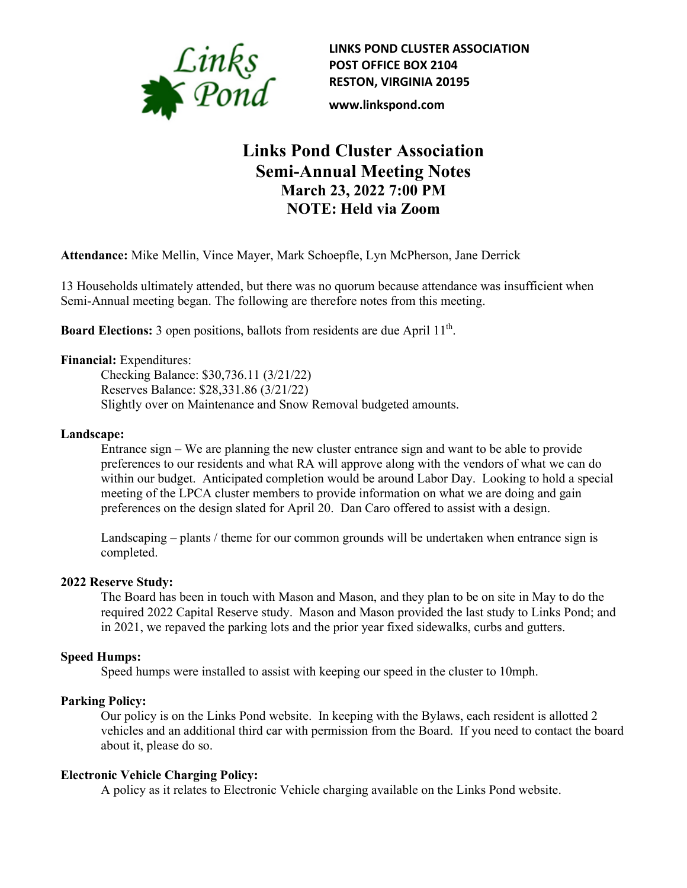

**LINKS POND CLUSTER ASSOCIATION POST OFFICE BOX 2104 RESTON, VIRGINIA 20195**

**www.linkspond.com**

# **Links Pond Cluster Association Semi-Annual Meeting Notes March 23, 2022 7:00 PM NOTE: Held via Zoom**

**Attendance:** Mike Mellin, Vince Mayer, Mark Schoepfle, Lyn McPherson, Jane Derrick

13 Households ultimately attended, but there was no quorum because attendance was insufficient when Semi-Annual meeting began. The following are therefore notes from this meeting.

**Board Elections:** 3 open positions, ballots from residents are due April 11<sup>th</sup>.

### **Financial:** Expenditures:

Checking Balance: \$30,736.11 (3/21/22) Reserves Balance: \$28,331.86 (3/21/22) Slightly over on Maintenance and Snow Removal budgeted amounts.

#### **Landscape:**

Entrance sign – We are planning the new cluster entrance sign and want to be able to provide preferences to our residents and what RA will approve along with the vendors of what we can do within our budget. Anticipated completion would be around Labor Day. Looking to hold a special meeting of the LPCA cluster members to provide information on what we are doing and gain preferences on the design slated for April 20. Dan Caro offered to assist with a design.

Landscaping – plants / theme for our common grounds will be undertaken when entrance sign is completed.

#### **2022 Reserve Study:**

The Board has been in touch with Mason and Mason, and they plan to be on site in May to do the required 2022 Capital Reserve study. Mason and Mason provided the last study to Links Pond; and in 2021, we repaved the parking lots and the prior year fixed sidewalks, curbs and gutters.

#### **Speed Humps:**

Speed humps were installed to assist with keeping our speed in the cluster to 10mph.

#### **Parking Policy:**

Our policy is on the Links Pond website. In keeping with the Bylaws, each resident is allotted 2 vehicles and an additional third car with permission from the Board. If you need to contact the board about it, please do so.

#### **Electronic Vehicle Charging Policy:**

A policy as it relates to Electronic Vehicle charging available on the Links Pond website.